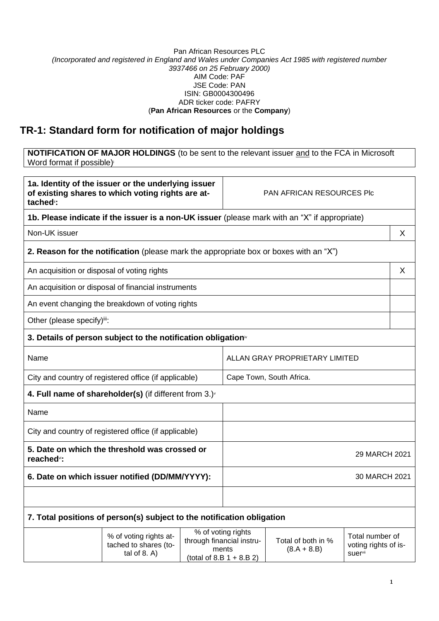## Pan African Resources PLC *(Incorporated and registered in England and Wales under Companies Act 1985 with registered number 3937466 on 25 February 2000)* AIM Code: PAF JSE Code: PAN ISIN: GB0004300496 ADR ticker code: PAFRY (**Pan African Resources** or the **Company**)

## **TR-1: Standard form for notification of major holdings**

**NOTIFICATION OF MAJOR HOLDINGS** (to be sent to the relevant issuer and to the FCA in Microsoft Word format if possible)

| 1a. Identity of the issuer or the underlying issuer<br>of existing shares to which voting rights are at-<br>tached <sup>"</sup> : |                                                                                               |                                | <b>PAN AFRICAN RESOURCES PIC</b>                                                        |                                     |                                                    |   |
|-----------------------------------------------------------------------------------------------------------------------------------|-----------------------------------------------------------------------------------------------|--------------------------------|-----------------------------------------------------------------------------------------|-------------------------------------|----------------------------------------------------|---|
|                                                                                                                                   | 1b. Please indicate if the issuer is a non-UK issuer (please mark with an "X" if appropriate) |                                |                                                                                         |                                     |                                                    |   |
| Non-UK issuer                                                                                                                     |                                                                                               |                                |                                                                                         |                                     |                                                    | X |
|                                                                                                                                   | 2. Reason for the notification (please mark the appropriate box or boxes with an "X")         |                                |                                                                                         |                                     |                                                    |   |
| An acquisition or disposal of voting rights                                                                                       |                                                                                               |                                |                                                                                         |                                     |                                                    | X |
|                                                                                                                                   | An acquisition or disposal of financial instruments                                           |                                |                                                                                         |                                     |                                                    |   |
|                                                                                                                                   | An event changing the breakdown of voting rights                                              |                                |                                                                                         |                                     |                                                    |   |
| Other (please specify)iii:                                                                                                        |                                                                                               |                                |                                                                                         |                                     |                                                    |   |
|                                                                                                                                   | 3. Details of person subject to the notification obligation <sup>*</sup>                      |                                |                                                                                         |                                     |                                                    |   |
| Name                                                                                                                              |                                                                                               | ALLAN GRAY PROPRIETARY LIMITED |                                                                                         |                                     |                                                    |   |
| City and country of registered office (if applicable)                                                                             |                                                                                               | Cape Town, South Africa.       |                                                                                         |                                     |                                                    |   |
|                                                                                                                                   | 4. Full name of shareholder(s) (if different from $3.$ ) $\sqrt{ }$                           |                                |                                                                                         |                                     |                                                    |   |
| Name                                                                                                                              |                                                                                               |                                |                                                                                         |                                     |                                                    |   |
| City and country of registered office (if applicable)                                                                             |                                                                                               |                                |                                                                                         |                                     |                                                    |   |
| 5. Date on which the threshold was crossed or<br>reached <sup>v</sup> :                                                           |                                                                                               | 29 MARCH 2021                  |                                                                                         |                                     |                                                    |   |
| 6. Date on which issuer notified (DD/MM/YYYY):                                                                                    |                                                                                               | 30 MARCH 2021                  |                                                                                         |                                     |                                                    |   |
|                                                                                                                                   |                                                                                               |                                |                                                                                         |                                     |                                                    |   |
|                                                                                                                                   | 7. Total positions of person(s) subject to the notification obligation                        |                                |                                                                                         |                                     |                                                    |   |
|                                                                                                                                   | % of voting rights at-<br>tached to shares (to-<br>tal of $8. A$ )                            |                                | % of voting rights<br>through financial instru-<br>ments<br>(total of 8.B $1 + 8.B 2$ ) | Total of both in %<br>$(8.A + 8.B)$ | Total number of<br>voting rights of is-<br>suervii |   |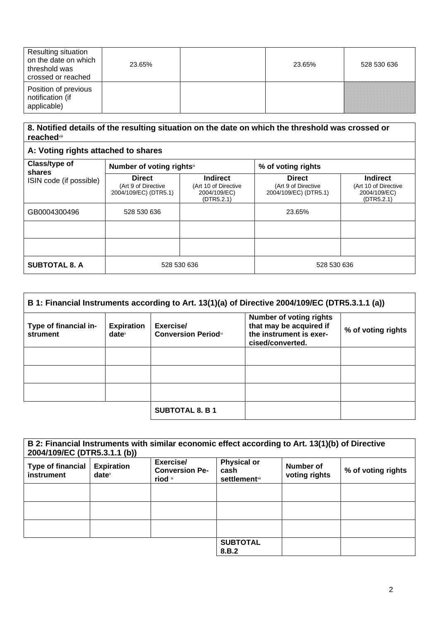| <b>Resulting situation</b><br>on the date on which<br>threshold was<br>crossed or reached | 23.65% | 23.65% | 528 530 636 |
|-------------------------------------------------------------------------------------------|--------|--------|-------------|
| Position of previous<br>notification (if<br>applicable)                                   |        |        |             |

## **8. Notified details of the resulting situation on the date on which the threshold was crossed or reached**viii

## **A: Voting rights attached to shares**

| Class/type of<br>shares | Number of voting rightsix                                     |                                                                       | % of voting rights                                            |                                                                       |
|-------------------------|---------------------------------------------------------------|-----------------------------------------------------------------------|---------------------------------------------------------------|-----------------------------------------------------------------------|
| ISIN code (if possible) | <b>Direct</b><br>(Art 9 of Directive<br>2004/109/EC) (DTR5.1) | <b>Indirect</b><br>(Art 10 of Directive<br>2004/109/EC)<br>(DTR5.2.1) | <b>Direct</b><br>(Art 9 of Directive<br>2004/109/EC) (DTR5.1) | <b>Indirect</b><br>(Art 10 of Directive<br>2004/109/EC)<br>(DTR5.2.1) |
| GB0004300496            | 528 530 636                                                   |                                                                       | 23.65%                                                        |                                                                       |
|                         |                                                               |                                                                       |                                                               |                                                                       |
|                         |                                                               |                                                                       |                                                               |                                                                       |
| <b>SUBTOTAL 8. A</b>    | 528 530 636                                                   |                                                                       | 528 530 636                                                   |                                                                       |

| B 1: Financial Instruments according to Art. 13(1)(a) of Directive 2004/109/EC (DTR5.3.1.1 (a)) |                                                        |                                         |                                                                                                          |                    |
|-------------------------------------------------------------------------------------------------|--------------------------------------------------------|-----------------------------------------|----------------------------------------------------------------------------------------------------------|--------------------|
| Type of financial in-<br>strument                                                               | <b>Expiration</b><br>$date^{\scriptscriptstyle\times}$ | Exercise/<br><b>Conversion Periodxi</b> | <b>Number of voting rights</b><br>that may be acquired if<br>the instrument is exer-<br>cised/converted. | % of voting rights |
|                                                                                                 |                                                        |                                         |                                                                                                          |                    |
|                                                                                                 |                                                        |                                         |                                                                                                          |                    |
|                                                                                                 |                                                        |                                         |                                                                                                          |                    |
|                                                                                                 |                                                        | <b>SUBTOTAL 8. B 1</b>                  |                                                                                                          |                    |

| B 2: Financial Instruments with similar economic effect according to Art. 13(1)(b) of Directive<br>2004/109/EC (DTR5.3.1.1 (b)) |                               |                                               |                                                     |                            |                    |
|---------------------------------------------------------------------------------------------------------------------------------|-------------------------------|-----------------------------------------------|-----------------------------------------------------|----------------------------|--------------------|
| <b>Type of financial</b><br>instrument                                                                                          | <b>Expiration</b><br>$date^x$ | Exercise/<br><b>Conversion Pe-</b><br>riod xi | <b>Physical or</b><br>cash<br><b>settlement</b> xii | Number of<br>voting rights | % of voting rights |
|                                                                                                                                 |                               |                                               |                                                     |                            |                    |
|                                                                                                                                 |                               |                                               |                                                     |                            |                    |
|                                                                                                                                 |                               |                                               |                                                     |                            |                    |
|                                                                                                                                 |                               |                                               | <b>SUBTOTAL</b><br>8.B.2                            |                            |                    |